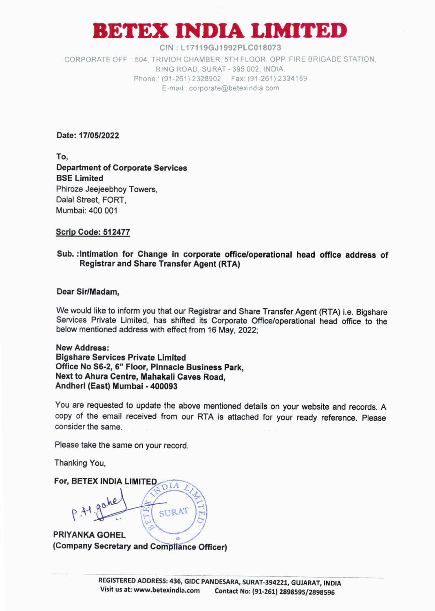# **BETEX INDIA LIMITED**

**GIN : L17119GJ1992PLC018073**  CORPORATE OFF 504, TRIVIDH **CHAMBER, 5TH** FLOOR, OPP. FIRE BRIGADE STATION, RING ROAD, SURAT - 395 002, INDIA Phone: (91-261) 2328902 Fax: (91-261) 2334189 E-mail corporate@betexindia.corn

**Date: 17/05/2022** 

**To, Department of Corporate Services BSE Limited**  Phiroze Jeejeebhoy Towers, Dalai Street, FORT, Mumbai: 400 001

## **Scrip Code: 512477**

### **Sub. :Intimation for Change in corporate office/operational head office address of Registrar and Share Transfer Agent (RTA)**

#### **Dear Sir/Madam,**

We would like to inform you that our Registrar and Share Transfer Agent (RTA) i.e. Bigshare Services Private Limited, has shifted its Corporate Office/operational head office to the below mentioned address with effect from 16 **May,** 2022;

**New Address: Bigshare Services Private Limited Office No S6-2, 6" Floor, Pinnacle Business Park, Next to Ahura Centre, Mahakali Caves Road, Andheri (East) Mumbai - 400093** 

You are requested to update the above mentioned details on your website and records. A copy of the email received from our **RTA** is attached for your ready reference. Please consider the same.

Please take the same on your record.

Thanking You,

**For, BETEX INDIA LIMITED %13**  SURAT **PRIYANKA GOHEL (Company Secretary and CoMpliance Officer)**